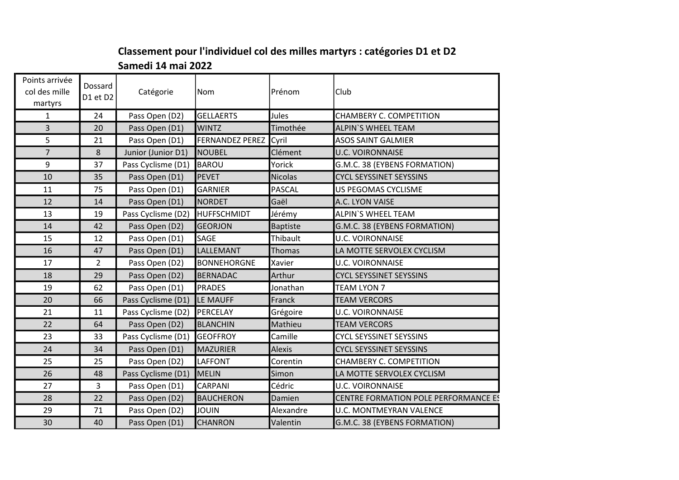## Classement pour l'individuel col des milles martyrs : catégories D1 et D2 Samedi 14 mai 2022

| Points arrivée<br>col des mille<br>martyrs | Dossard<br>D1 et D2 | Catégorie                   | Nom                    | Prénom          | Club                                        |  |
|--------------------------------------------|---------------------|-----------------------------|------------------------|-----------------|---------------------------------------------|--|
| $\mathbf{1}$                               | 24                  | Pass Open (D2)              | <b>GELLAERTS</b>       | Jules           | <b>CHAMBERY C. COMPETITION</b>              |  |
| $\overline{3}$                             | 20                  | Pass Open (D1)              | <b>WINTZ</b>           | Timothée        | <b>ALPIN'S WHEEL TEAM</b>                   |  |
| 5                                          | 21                  | Pass Open (D1)              | <b>FERNANDEZ PEREZ</b> | Cyril           | <b>ASOS SAINT GALMIER</b>                   |  |
| $\overline{7}$                             | 8                   | Junior (Junior D1)          | <b>NOUBEL</b>          | Clément         | <b>U.C. VOIRONNAISE</b>                     |  |
| 9                                          | 37                  | Pass Cyclisme (D1)          | <b>BAROU</b>           | Yorick          | G.M.C. 38 (EYBENS FORMATION)                |  |
| 10                                         | 35                  | Pass Open (D1)              | <b>PEVET</b>           | <b>Nicolas</b>  | <b>CYCL SEYSSINET SEYSSINS</b>              |  |
| 11                                         | 75                  | Pass Open (D1)              | <b>GARNIER</b>         | PASCAL          | US PEGOMAS CYCLISME                         |  |
| 12                                         | 14                  | Pass Open (D1)              | NORDET                 | Gaël            | A.C. LYON VAISE                             |  |
| 13                                         | 19                  | Pass Cyclisme (D2)          | HUFFSCHMIDT            | Jérémy          | ALPIN'S WHEEL TEAM                          |  |
| 14                                         | 42                  | Pass Open (D2)              | <b>GEORJON</b>         | <b>Baptiste</b> | G.M.C. 38 (EYBENS FORMATION)                |  |
| 15                                         | 12                  | Pass Open (D1)              | SAGE                   | Thibault        | <b>U.C. VOIRONNAISE</b>                     |  |
| 16                                         | 47                  | Pass Open (D1)              | LALLEMANT              | Thomas          | LA MOTTE SERVOLEX CYCLISM                   |  |
| 17                                         | $\overline{2}$      | Pass Open (D2)              | <b>BONNEHORGNE</b>     | Xavier          | <b>U.C. VOIRONNAISE</b>                     |  |
| 18                                         | 29                  | Pass Open (D2)              | <b>BERNADAC</b>        | Arthur          | <b>CYCL SEYSSINET SEYSSINS</b>              |  |
| 19                                         | 62                  | Pass Open (D1)              | PRADES                 | Jonathan        | <b>TEAM LYON 7</b>                          |  |
| 20                                         | 66                  | Pass Cyclisme (D1)          | LE MAUFF               | Franck          | <b>TEAM VERCORS</b>                         |  |
| 21                                         | 11                  | Pass Cyclisme (D2) PERCELAY |                        | Grégoire        | U.C. VOIRONNAISE                            |  |
| 22                                         | 64                  | Pass Open (D2)              | <b>BLANCHIN</b>        | Mathieu         | <b>TEAM VERCORS</b>                         |  |
| 23                                         | 33                  | Pass Cyclisme (D1)          | <b>GEOFFROY</b>        | Camille         | <b>CYCL SEYSSINET SEYSSINS</b>              |  |
| 24                                         | 34                  | Pass Open (D1)              | <b>MAZURIER</b>        | <b>Alexis</b>   | <b>CYCL SEYSSINET SEYSSINS</b>              |  |
| 25                                         | 25                  | Pass Open (D2)              | LAFFONT                | Corentin        | <b>CHAMBERY C. COMPETITION</b>              |  |
| 26                                         | 48                  | Pass Cyclisme (D1)          | <b>MELIN</b>           | Simon           | LA MOTTE SERVOLEX CYCLISM                   |  |
| 27                                         | 3 <sup>1</sup>      | Pass Open (D1)              | CARPANI                | Cédric          | <b>U.C. VOIRONNAISE</b>                     |  |
| 28                                         | 22                  | Pass Open (D2)              | <b>BAUCHERON</b>       | Damien          | <b>CENTRE FORMATION POLE PERFORMANCE ES</b> |  |
| 29                                         | 71                  | Pass Open (D2)              | <b>JOUIN</b>           | Alexandre       | <b>U.C. MONTMEYRAN VALENCE</b>              |  |
| 30                                         | 40                  | Pass Open (D1)              | <b>CHANRON</b>         | Valentin        | G.M.C. 38 (EYBENS FORMATION)                |  |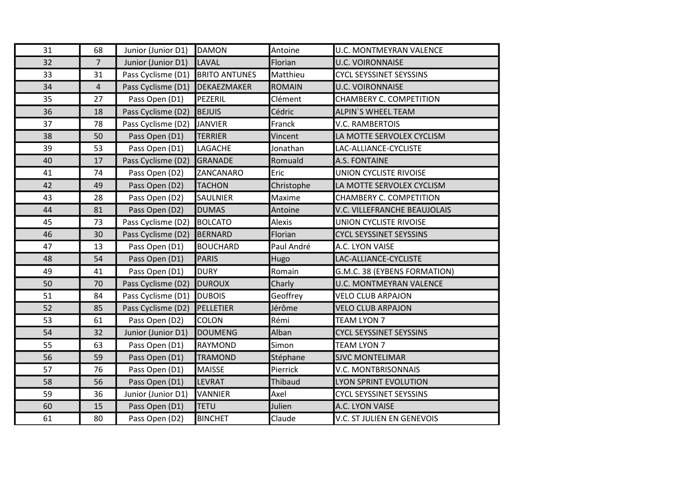| 31 | 68             | Junior (Junior D1) | <b>DAMON</b>         | Antoine        | U.C. MONTMEYRAN VALENCE        |
|----|----------------|--------------------|----------------------|----------------|--------------------------------|
| 32 | $\overline{7}$ | Junior (Junior D1) | LAVAL                | Florian        | <b>U.C. VOIRONNAISE</b>        |
| 33 | 31             | Pass Cyclisme (D1) | <b>BRITO ANTUNES</b> | Matthieu       | <b>CYCL SEYSSINET SEYSSINS</b> |
| 34 | $\overline{4}$ | Pass Cyclisme (D1) | DEKAEZMAKER          | <b>ROMAIN</b>  | <b>U.C. VOIRONNAISE</b>        |
| 35 | 27             | Pass Open (D1)     | PEZERIL              | Clément        | <b>CHAMBERY C. COMPETITION</b> |
| 36 | 18             | Pass Cyclisme (D2) | <b>BEJUIS</b>        | Cédric         | <b>ALPIN'S WHEEL TEAM</b>      |
| 37 | 78             | Pass Cyclisme (D2) | <b>JANVIER</b>       | Franck         | <b>V.C. RAMBERTOIS</b>         |
| 38 | 50             | Pass Open (D1)     | <b>TERRIER</b>       | Vincent        | LA MOTTE SERVOLEX CYCLISM      |
| 39 | 53             | Pass Open (D1)     | LAGACHE              | Jonathan       | LAC-ALLIANCE-CYCLISTE          |
| 40 | 17             | Pass Cyclisme (D2) | <b>GRANADE</b>       | Romuald        | A.S. FONTAINE                  |
| 41 | 74             | Pass Open (D2)     | ZANCANARO            | Eric           | <b>UNION CYCLISTE RIVOISE</b>  |
| 42 | 49             | Pass Open (D2)     | <b>TACHON</b>        | Christophe     | LA MOTTE SERVOLEX CYCLISM      |
| 43 | 28             | Pass Open (D2)     | <b>SAULNIER</b>      | Maxime         | CHAMBERY C. COMPETITION        |
| 44 | 81             | Pass Open (D2)     | <b>DUMAS</b>         | Antoine        | V.C. VILLEFRANCHE BEAUJOLAIS   |
| 45 | 73             | Pass Cyclisme (D2) | <b>BOLCATO</b>       | <b>Alexis</b>  | UNION CYCLISTE RIVOISE         |
| 46 | 30             | Pass Cyclisme (D2) | BERNARD              | Florian        | <b>CYCL SEYSSINET SEYSSINS</b> |
| 47 | 13             | Pass Open (D1)     | <b>BOUCHARD</b>      | Paul André     | A.C. LYON VAISE                |
| 48 | 54             | Pass Open (D1)     | PARIS                | Hugo           | LAC-ALLIANCE-CYCLISTE          |
| 49 | 41             | Pass Open (D1)     | <b>DURY</b>          | Romain         | G.M.C. 38 (EYBENS FORMATION)   |
| 50 | 70             | Pass Cyclisme (D2) | <b>DUROUX</b>        | Charly         | <b>U.C. MONTMEYRAN VALENCE</b> |
| 51 | 84             | Pass Cyclisme (D1) | <b>DUBOIS</b>        | Geoffrey       | <b>VELO CLUB ARPAJON</b>       |
| 52 | 85             | Pass Cyclisme (D2) | PELLETIER            | Jérôme         | <b>VELO CLUB ARPAJON</b>       |
| 53 | 61             | Pass Open (D2)     | <b>COLON</b>         | Rémi           | <b>TEAM LYON 7</b>             |
| 54 | 32             | Junior (Junior D1) | <b>DOUMENG</b>       | Alban          | <b>CYCL SEYSSINET SEYSSINS</b> |
| 55 | 63             | Pass Open (D1)     | RAYMOND              | Simon          | <b>TEAM LYON 7</b>             |
| 56 | 59             | Pass Open (D1)     | <b>TRAMOND</b>       | Stéphane       | <b>SJVC MONTELIMAR</b>         |
| 57 | 76             | Pass Open (D1)     | <b>MAISSE</b>        | Pierrick       | V.C. MONTBRISONNAIS            |
| 58 | 56             | Pass Open (D1)     | <b>LEVRAT</b>        | <b>Thibaud</b> | <b>LYON SPRINT EVOLUTION</b>   |
| 59 | 36             | Junior (Junior D1) | VANNIER              | Axel           | <b>CYCL SEYSSINET SEYSSINS</b> |
| 60 | 15             | Pass Open (D1)     | <b>TETU</b>          | Julien         | A.C. LYON VAISE                |
| 61 | 80             | Pass Open (D2)     | <b>BINCHET</b>       | Claude         | V.C. ST JULIEN EN GENEVOIS     |